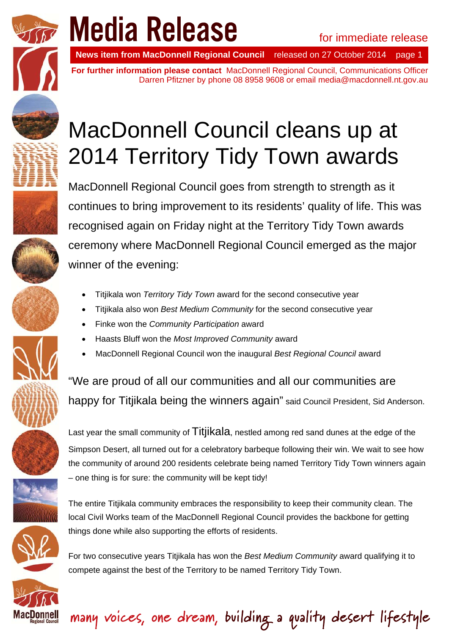

# **Media Release**<br>News item from MacDonnell Regional Council released on 27 October 2014 page 1

**News item from MacDonnell Regional Council** 

**For further information please contact** MacDonnell Regional Council, Communications Officer Darren Pfitzner by phone 08 8958 9608 or email media@macdonnell.nt.gov.au







MacDonnell Council cleans up at

2014 Territory Tidy Town awards

- Titjikala won *Territory Tidy Town* award for the second consecutive year
- Titjikala also won *Best Medium Community* for the second consecutive year
- Finke won the *Community Participation* award
- Haasts Bluff won the *Most Improved Community* award
- MacDonnell Regional Council won the inaugural *Best Regional Council* award

"We are proud of all our communities and all our communities are happy for Titjikala being the winners again" said Council President, Sid Anderson.

Last year the small community of Titjikala, nestled among red sand dunes at the edge of the Simpson Desert, all turned out for a celebratory barbeque following their win. We wait to see how the community of around 200 residents celebrate being named Territory Tidy Town winners again – one thing is for sure: the community will be kept tidy!

The entire Titjikala community embraces the responsibility to keep their community clean. The local Civil Works team of the MacDonnell Regional Council provides the backbone for getting things done while also supporting the efforts of residents.

For two consecutive years Titjikala has won the *Best Medium Community* award qualifying it to compete against the best of the Territory to be named Territory Tidy Town.

many voices, one dream, building a quality desert lifestyle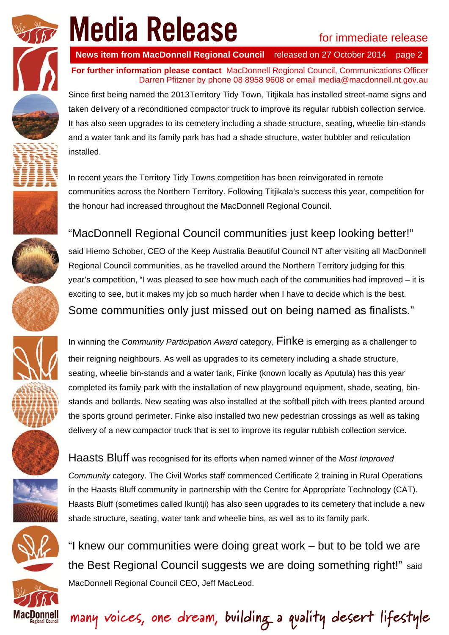

**News item from MacDonnell Regional Council** 

**For further information please contact** MacDonnell Regional Council, Communications Officer Darren Pfitzner by phone 08 8958 9608 or email media@macdonnell.nt.gov.au

Since first being named the 2013Territory Tidy Town, Titjikala has installed street-name signs and taken delivery of a reconditioned compactor truck to improve its regular rubbish collection service. It has also seen upgrades to its cemetery including a shade structure, seating, wheelie bin-stands and a water tank and its family park has had a shade structure, water bubbler and reticulation installed.

In recent years the Territory Tidy Towns competition has been reinvigorated in remote communities across the Northern Territory. Following Titjikala's success this year, competition for the honour had increased throughout the MacDonnell Regional Council.

## "MacDonnell Regional Council communities just keep looking better!"

said Hiemo Schober, CEO of the Keep Australia Beautiful Council NT after visiting all MacDonnell Regional Council communities, as he travelled around the Northern Territory judging for this year's competition, "I was pleased to see how much each of the communities had improved – it is exciting to see, but it makes my job so much harder when I have to decide which is the best. Some communities only just missed out on being named as finalists."

In winning the *Community Participation Award* category, Finke is emerging as a challenger to their reigning neighbours. As well as upgrades to its cemetery including a shade structure, seating, wheelie bin-stands and a water tank, Finke (known locally as Aputula) has this year completed its family park with the installation of new playground equipment, shade, seating, binstands and bollards. New seating was also installed at the softball pitch with trees planted around the sports ground perimeter. Finke also installed two new pedestrian crossings as well as taking delivery of a new compactor truck that is set to improve its regular rubbish collection service.

Haasts Bluff was recognised for its efforts when named winner of the *Most Improved Community* category. The Civil Works staff commenced Certificate 2 training in Rural Operations in the Haasts Bluff community in partnership with the Centre for Appropriate Technology (CAT). Haasts Bluff (sometimes called Ikuntji) has also seen upgrades to its cemetery that include a new shade structure, seating, water tank and wheelie bins, as well as to its family park.

"I knew our communities were doing great work – but to be told we are the Best Regional Council suggests we are doing something right!" said MacDonnell Regional Council CEO, Jeff MacLeod.

many voices, one dream, building a quality desert lifestyle